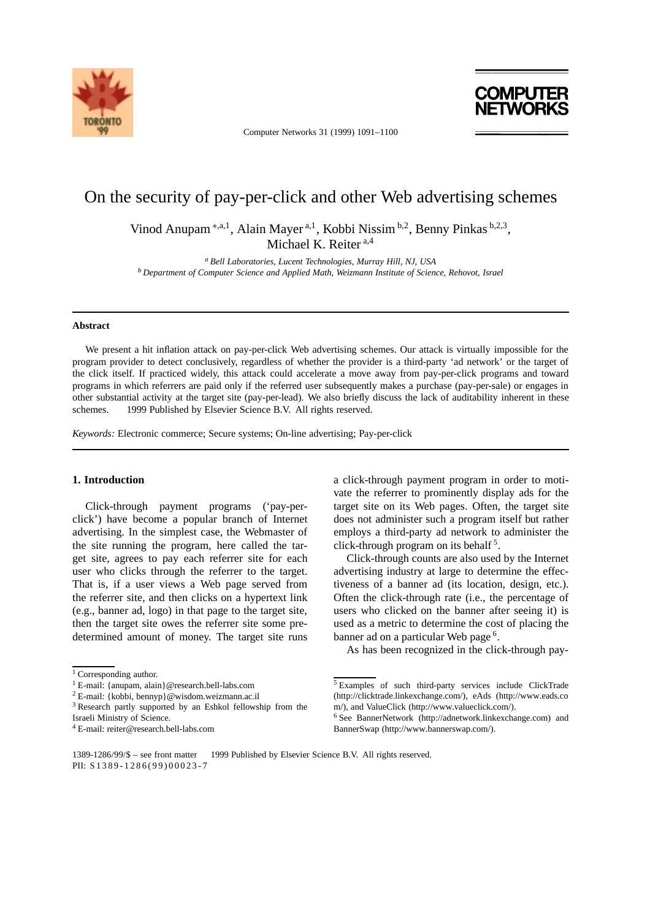

Computer Networks 31 (1999) 1091–1100



# On the security of pay-per-click and other Web advertising schemes

Vinod Anupam \*,a,1, Alain Mayer a,1, Kobbi Nissim <sup>b,2</sup>, Benny Pinkas <sup>b,2,3</sup>, Michael K. Reiter<sup>a,4</sup>

*<sup>a</sup> Bell Laboratories, Lucent Technologies, Murray Hill, NJ, USA <sup>b</sup> Department of Computer Science and Applied Math, Weizmann Institute of Science, Rehovot, Israel*

# **Abstract**

We present a hit inflation attack on pay-per-click Web advertising schemes. Our attack is virtually impossible for the program provider to detect conclusively, regardless of whether the provider is a third-party 'ad network' or the target of the click itself. If practiced widely, this attack could accelerate a move away from pay-per-click programs and toward programs in which referrers are paid only if the referred user subsequently makes a purchase (pay-per-sale) or engages in other substantial activity at the target site (pay-per-lead). We also briefly discuss the lack of auditability inherent in these schemes.  $© 1999$  Published by Elsevier Science B.V. All rights reserved.

*Keywords:* Electronic commerce; Secure systems; On-line advertising; Pay-per-click

# **1. Introduction**

Click-through payment programs ('pay-perclick') have become a popular branch of Internet advertising. In the simplest case, the Webmaster of the site running the program, here called the target site, agrees to pay each referrer site for each user who clicks through the referrer to the target. That is, if a user views a Web page served from the referrer site, and then clicks on a hypertext link (e.g., banner ad, logo) in that page to the target site, then the target site owes the referrer site some predetermined amount of money. The target site runs a click-through payment program in order to motivate the referrer to prominently display ads for the target site on its Web pages. Often, the target site does not administer such a program itself but rather employs a third-party ad network to administer the click-through program on its behalf<sup>5</sup>.

Click-through counts are also used by the Internet advertising industry at large to determine the effectiveness of a banner ad (its location, design, etc.). Often the click-through rate (i.e., the percentage of users who clicked on the banner after seeing it) is used as a metric to determine the cost of placing the banner ad on a particular Web page 6.

As has been recognized in the click-through pay-

1389-1286/99/\$ – see front matter 1999 Published by Elsevier Science B.V. All rights reserved. PII: S 1 3 8 9 - 1 2 8 6 ( 9 9 ) 0 0 0 2 3 - 7

<sup>&</sup>lt;sup>1</sup> Corresponding author.

<sup>1</sup> E-mail: {anupam, alain}@research.bell-labs.com

<sup>2</sup> E-mail: {kobbi, bennyp}@wisdom.weizmann.ac.il

<sup>&</sup>lt;sup>3</sup> Research partly supported by an Eshkol fellowship from the Israeli Ministry of Science.

<sup>4</sup> E-mail: reiter@research.bell-labs.com

<sup>5</sup> Examples of such third-party services include ClickTrade (http://clicktrade.linkexchange.com/), eAds (http://www.eads.co m/), and ValueClick (http://www.valueclick.com/).

<sup>6</sup> See BannerNetwork (http://adnetwork.linkexchange.com) and BannerSwap (http://www.bannerswap.com/).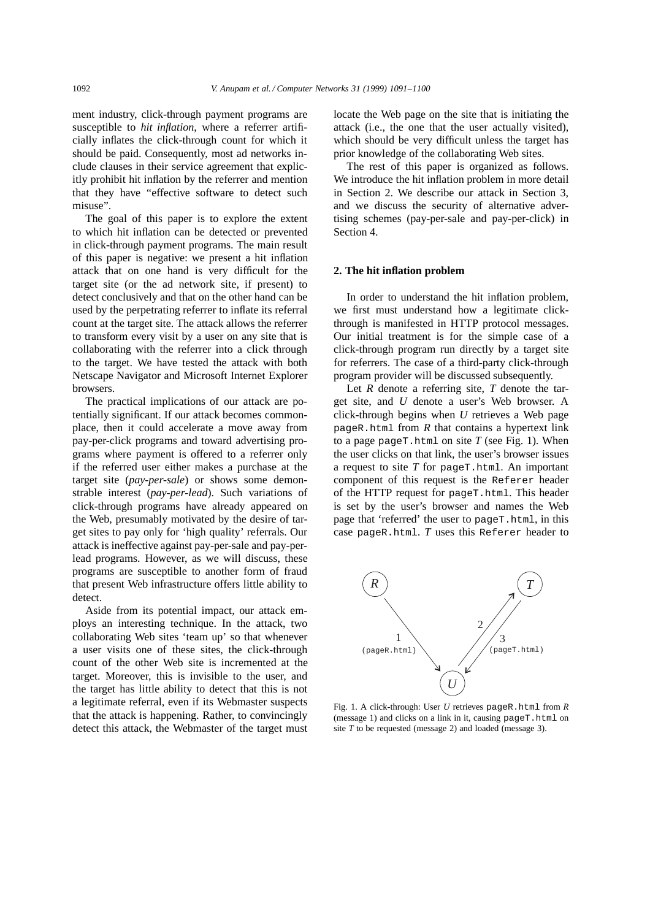ment industry, click-through payment programs are susceptible to *hit inflation*, where a referrer artificially inflates the click-through count for which it should be paid. Consequently, most ad networks include clauses in their service agreement that explicitly prohibit hit inflation by the referrer and mention that they have "effective software to detect such misuse".

The goal of this paper is to explore the extent to which hit inflation can be detected or prevented in click-through payment programs. The main result of this paper is negative: we present a hit inflation attack that on one hand is very difficult for the target site (or the ad network site, if present) to detect conclusively and that on the other hand can be used by the perpetrating referrer to inflate its referral count at the target site. The attack allows the referrer to transform every visit by a user on any site that is collaborating with the referrer into a click through to the target. We have tested the attack with both Netscape Navigator and Microsoft Internet Explorer browsers.

The practical implications of our attack are potentially significant. If our attack becomes commonplace, then it could accelerate a move away from pay-per-click programs and toward advertising programs where payment is offered to a referrer only if the referred user either makes a purchase at the target site (*pay-per-sale*) or shows some demonstrable interest (*pay-per-lead*). Such variations of click-through programs have already appeared on the Web, presumably motivated by the desire of target sites to pay only for 'high quality' referrals. Our attack is ineffective against pay-per-sale and pay-perlead programs. However, as we will discuss, these programs are susceptible to another form of fraud that present Web infrastructure offers little ability to detect.

Aside from its potential impact, our attack employs an interesting technique. In the attack, two collaborating Web sites 'team up' so that whenever a user visits one of these sites, the click-through count of the other Web site is incremented at the target. Moreover, this is invisible to the user, and the target has little ability to detect that this is not a legitimate referral, even if its Webmaster suspects that the attack is happening. Rather, to convincingly detect this attack, the Webmaster of the target must locate the Web page on the site that is initiating the attack (i.e., the one that the user actually visited), which should be very difficult unless the target has prior knowledge of the collaborating Web sites.

The rest of this paper is organized as follows. We introduce the hit inflation problem in more detail in Section 2. We describe our attack in Section 3, and we discuss the security of alternative advertising schemes (pay-per-sale and pay-per-click) in Section 4.

# **2. The hit inflation problem**

In order to understand the hit inflation problem, we first must understand how a legitimate clickthrough is manifested in HTTP protocol messages. Our initial treatment is for the simple case of a click-through program run directly by a target site for referrers. The case of a third-party click-through program provider will be discussed subsequently.

Let *R* denote a referring site, *T* denote the target site, and *U* denote a user's Web browser. A click-through begins when *U* retrieves a Web page pageR.html from *R* that contains a hypertext link to a page pageT.html on site  $T$  (see Fig. 1). When the user clicks on that link, the user's browser issues a request to site *T* for pageT.html. An important component of this request is the Referer header of the HTTP request for pageT.html. This header is set by the user's browser and names the Web page that 'referred' the user to pageT.html, in this case pageR.html. *T* uses this Referer header to



Fig. 1. A click-through: User *U* retrieves pageR.html from *R* (message 1) and clicks on a link in it, causing pageT.html on site *T* to be requested (message 2) and loaded (message 3).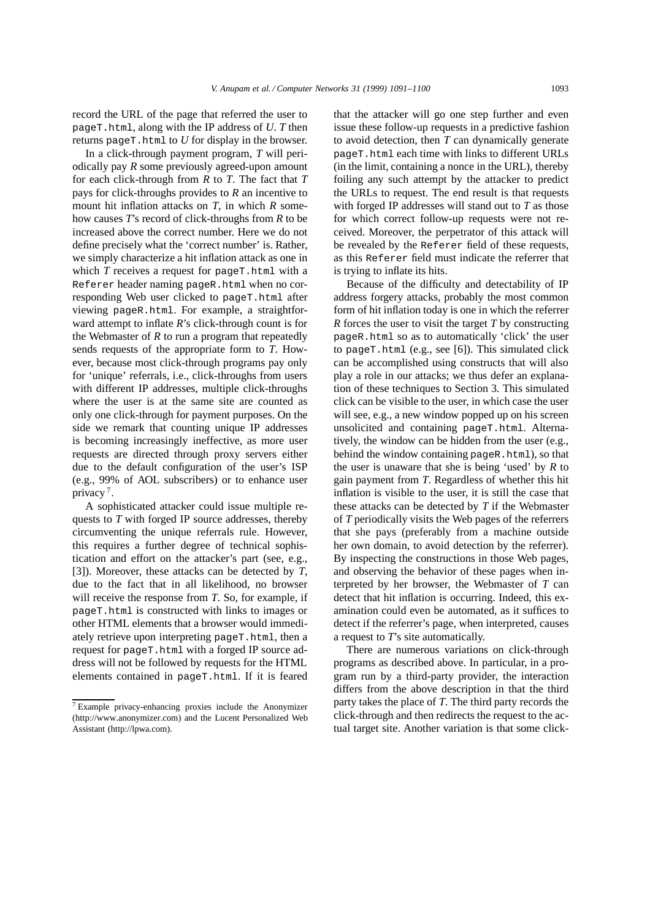record the URL of the page that referred the user to pageT.html, along with the IP address of *U*. *T* then returns pageT.html to *U* for display in the browser.

In a click-through payment program, *T* will periodically pay *R* some previously agreed-upon amount for each click-through from *R* to *T*. The fact that *T* pays for click-throughs provides to *R* an incentive to mount hit inflation attacks on *T*, in which *R* somehow causes *T*'s record of click-throughs from *R* to be increased above the correct number. Here we do not define precisely what the 'correct number' is. Rather, we simply characterize a hit inflation attack as one in which *T* receives a request for pageT.html with a Referer header naming pageR.html when no corresponding Web user clicked to pageT.html after viewing pageR.html. For example, a straightforward attempt to inflate *R*'s click-through count is for the Webmaster of *R* to run a program that repeatedly sends requests of the appropriate form to *T*. However, because most click-through programs pay only for 'unique' referrals, i.e., click-throughs from users with different IP addresses, multiple click-throughs where the user is at the same site are counted as only one click-through for payment purposes. On the side we remark that counting unique IP addresses is becoming increasingly ineffective, as more user requests are directed through proxy servers either due to the default configuration of the user's ISP (e.g., 99% of AOL subscribers) or to enhance user privacy 7.

A sophisticated attacker could issue multiple requests to *T* with forged IP source addresses, thereby circumventing the unique referrals rule. However, this requires a further degree of technical sophistication and effort on the attacker's part (see, e.g., [3]). Moreover, these attacks can be detected by *T*, due to the fact that in all likelihood, no browser will receive the response from *T*. So, for example, if pageT.html is constructed with links to images or other HTML elements that a browser would immediately retrieve upon interpreting pageT.html, then a request for pageT.html with a forged IP source address will not be followed by requests for the HTML elements contained in pageT.html. If it is feared that the attacker will go one step further and even issue these follow-up requests in a predictive fashion to avoid detection, then *T* can dynamically generate pageT.html each time with links to different URLs (in the limit, containing a nonce in the URL), thereby foiling any such attempt by the attacker to predict the URLs to request. The end result is that requests with forged IP addresses will stand out to *T* as those for which correct follow-up requests were not received. Moreover, the perpetrator of this attack will be revealed by the Referer field of these requests, as this Referer field must indicate the referrer that is trying to inflate its hits.

Because of the difficulty and detectability of IP address forgery attacks, probably the most common form of hit inflation today is one in which the referrer *R* forces the user to visit the target *T* by constructing pageR.html so as to automatically 'click' the user to pageT.html (e.g., see [6]). This simulated click can be accomplished using constructs that will also play a role in our attacks; we thus defer an explanation of these techniques to Section 3. This simulated click can be visible to the user, in which case the user will see, e.g., a new window popped up on his screen unsolicited and containing pageT.html. Alternatively, the window can be hidden from the user (e.g., behind the window containing pageR.html), so that the user is unaware that she is being 'used' by *R* to gain payment from *T*. Regardless of whether this hit inflation is visible to the user, it is still the case that these attacks can be detected by *T* if the Webmaster of *T* periodically visits the Web pages of the referrers that she pays (preferably from a machine outside her own domain, to avoid detection by the referrer). By inspecting the constructions in those Web pages, and observing the behavior of these pages when interpreted by her browser, the Webmaster of *T* can detect that hit inflation is occurring. Indeed, this examination could even be automated, as it suffices to detect if the referrer's page, when interpreted, causes a request to *T*'s site automatically.

There are numerous variations on click-through programs as described above. In particular, in a program run by a third-party provider, the interaction differs from the above description in that the third party takes the place of *T*. The third party records the click-through and then redirects the request to the actual target site. Another variation is that some click-

<sup>7</sup> Example privacy-enhancing proxies include the Anonymizer (http://www.anonymizer.com) and the Lucent Personalized Web Assistant (http://lpwa.com).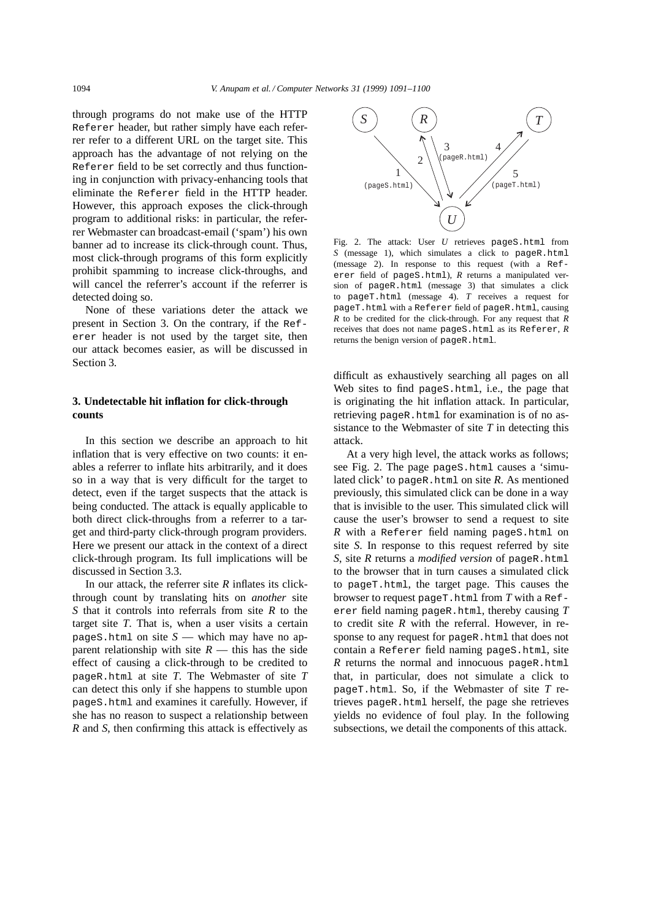through programs do not make use of the HTTP Referer header, but rather simply have each referrer refer to a different URL on the target site. This approach has the advantage of not relying on the Referer field to be set correctly and thus functioning in conjunction with privacy-enhancing tools that eliminate the Referer field in the HTTP header. However, this approach exposes the click-through program to additional risks: in particular, the referrer Webmaster can broadcast-email ('spam') his own banner ad to increase its click-through count. Thus, most click-through programs of this form explicitly prohibit spamming to increase click-throughs, and will cancel the referrer's account if the referrer is detected doing so.

None of these variations deter the attack we present in Section 3. On the contrary, if the Referer header is not used by the target site, then our attack becomes easier, as will be discussed in Section 3.

# **3. Undetectable hit inflation for click-through counts**

In this section we describe an approach to hit inflation that is very effective on two counts: it enables a referrer to inflate hits arbitrarily, and it does so in a way that is very difficult for the target to detect, even if the target suspects that the attack is being conducted. The attack is equally applicable to both direct click-throughs from a referrer to a target and third-party click-through program providers. Here we present our attack in the context of a direct click-through program. Its full implications will be discussed in Section 3.3.

In our attack, the referrer site *R* inflates its clickthrough count by translating hits on *another* site *S* that it controls into referrals from site *R* to the target site *T*. That is, when a user visits a certain pageS.html on site *S* — which may have no apparent relationship with site  $R$  — this has the side effect of causing a click-through to be credited to pageR.html at site *T*. The Webmaster of site *T* can detect this only if she happens to stumble upon pageS.html and examines it carefully. However, if she has no reason to suspect a relationship between *R* and *S*, then confirming this attack is effectively as



Fig. 2. The attack: User *U* retrieves pageS.html from *S* (message 1), which simulates a click to pageR.html (message 2). In response to this request (with a Referer field of pageS.html), *R* returns a manipulated version of pageR.html (message 3) that simulates a click to pageT.html (message 4). *T* receives a request for pageT.html with a Referer field of pageR.html, causing *R* to be credited for the click-through. For any request that *R* receives that does not name pageS.html as its Referer, *R* returns the benign version of pageR.html.

difficult as exhaustively searching all pages on all Web sites to find pageS.html, i.e., the page that is originating the hit inflation attack. In particular, retrieving pageR.html for examination is of no assistance to the Webmaster of site *T* in detecting this attack.

At a very high level, the attack works as follows; see Fig. 2. The page pageS.html causes a 'simulated click' to pageR.html on site *R*. As mentioned previously, this simulated click can be done in a way that is invisible to the user. This simulated click will cause the user's browser to send a request to site *R* with a Referer field naming pageS.html on site *S*. In response to this request referred by site *S*, site *R* returns a *modified version* of pageR.html to the browser that in turn causes a simulated click to pageT.html, the target page. This causes the browser to request pageT.html from *T* with a Referer field naming pageR.html, thereby causing *T* to credit site *R* with the referral. However, in response to any request for pageR.html that does not contain a Referer field naming pageS.html, site *R* returns the normal and innocuous pageR.html that, in particular, does not simulate a click to pageT.html. So, if the Webmaster of site *T* retrieves pageR.html herself, the page she retrieves yields no evidence of foul play. In the following subsections, we detail the components of this attack.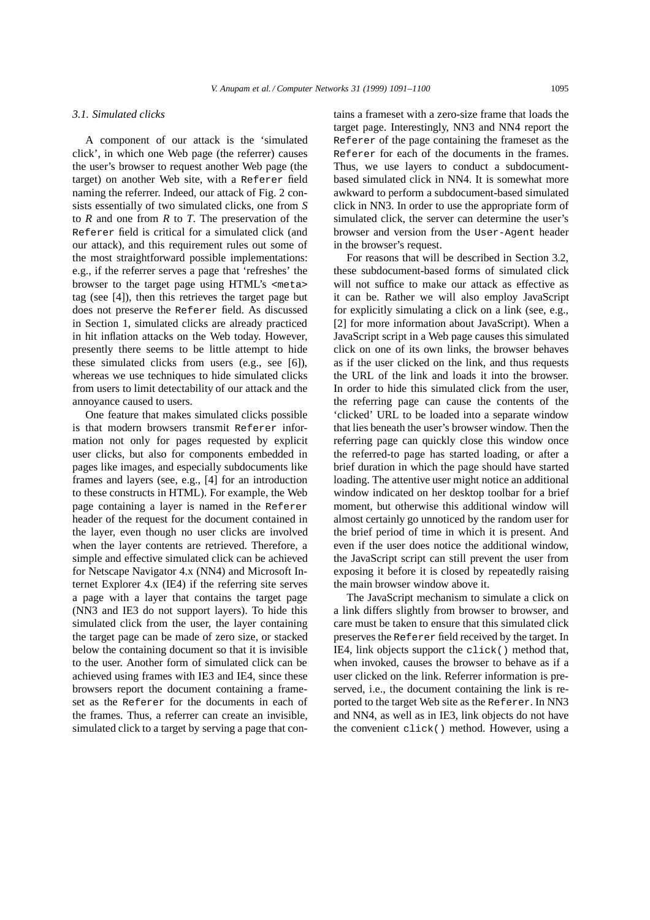# *3.1. Simulated clicks*

A component of our attack is the 'simulated click', in which one Web page (the referrer) causes the user's browser to request another Web page (the target) on another Web site, with a Referer field naming the referrer. Indeed, our attack of Fig. 2 consists essentially of two simulated clicks, one from *S* to *R* and one from *R* to *T*. The preservation of the Referer field is critical for a simulated click (and our attack), and this requirement rules out some of the most straightforward possible implementations: e.g., if the referrer serves a page that 'refreshes' the browser to the target page using HTML's <meta> tag (see [4]), then this retrieves the target page but does not preserve the Referer field. As discussed in Section 1, simulated clicks are already practiced in hit inflation attacks on the Web today. However, presently there seems to be little attempt to hide these simulated clicks from users (e.g., see [6]), whereas we use techniques to hide simulated clicks from users to limit detectability of our attack and the annoyance caused to users.

One feature that makes simulated clicks possible is that modern browsers transmit Referer information not only for pages requested by explicit user clicks, but also for components embedded in pages like images, and especially subdocuments like frames and layers (see, e.g., [4] for an introduction to these constructs in HTML). For example, the Web page containing a layer is named in the Referer header of the request for the document contained in the layer, even though no user clicks are involved when the layer contents are retrieved. Therefore, a simple and effective simulated click can be achieved for Netscape Navigator 4.x (NN4) and Microsoft Internet Explorer 4.x (IE4) if the referring site serves a page with a layer that contains the target page (NN3 and IE3 do not support layers). To hide this simulated click from the user, the layer containing the target page can be made of zero size, or stacked below the containing document so that it is invisible to the user. Another form of simulated click can be achieved using frames with IE3 and IE4, since these browsers report the document containing a frameset as the Referer for the documents in each of the frames. Thus, a referrer can create an invisible, simulated click to a target by serving a page that con-

tains a frameset with a zero-size frame that loads the target page. Interestingly, NN3 and NN4 report the Referer of the page containing the frameset as the Referer for each of the documents in the frames. Thus, we use layers to conduct a subdocumentbased simulated click in NN4. It is somewhat more awkward to perform a subdocument-based simulated click in NN3. In order to use the appropriate form of simulated click, the server can determine the user's browser and version from the User-Agent header in the browser's request.

For reasons that will be described in Section 3.2, these subdocument-based forms of simulated click will not suffice to make our attack as effective as it can be. Rather we will also employ JavaScript for explicitly simulating a click on a link (see, e.g., [2] for more information about JavaScript). When a JavaScript script in a Web page causes this simulated click on one of its own links, the browser behaves as if the user clicked on the link, and thus requests the URL of the link and loads it into the browser. In order to hide this simulated click from the user, the referring page can cause the contents of the 'clicked' URL to be loaded into a separate window that lies beneath the user's browser window. Then the referring page can quickly close this window once the referred-to page has started loading, or after a brief duration in which the page should have started loading. The attentive user might notice an additional window indicated on her desktop toolbar for a brief moment, but otherwise this additional window will almost certainly go unnoticed by the random user for the brief period of time in which it is present. And even if the user does notice the additional window, the JavaScript script can still prevent the user from exposing it before it is closed by repeatedly raising the main browser window above it.

The JavaScript mechanism to simulate a click on a link differs slightly from browser to browser, and care must be taken to ensure that this simulated click preserves the Referer field received by the target. In IE4, link objects support the click() method that, when invoked, causes the browser to behave as if a user clicked on the link. Referrer information is preserved, i.e., the document containing the link is reported to the target Web site as the Referer. In NN3 and NN4, as well as in IE3, link objects do not have the convenient click() method. However, using a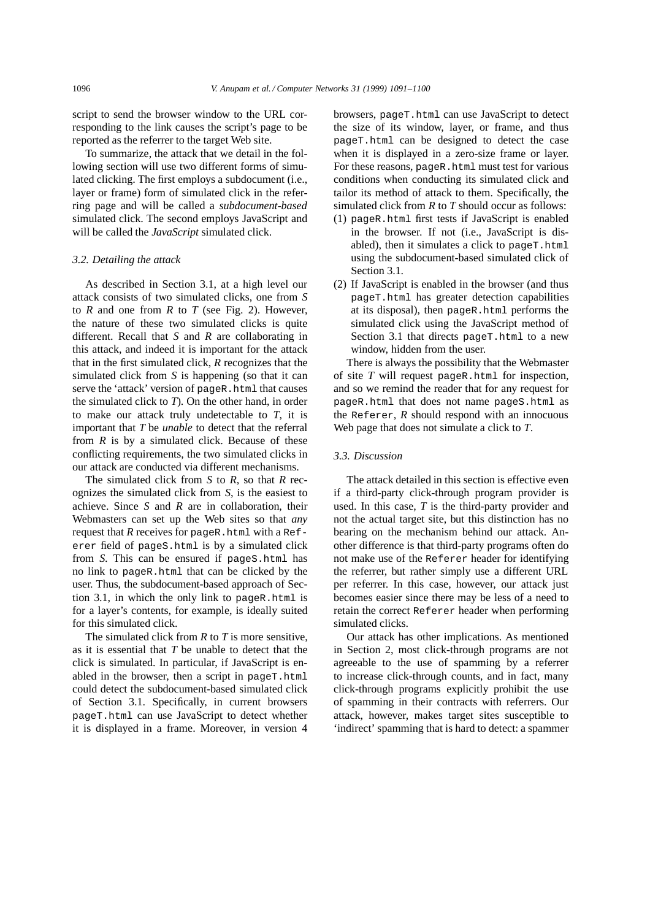script to send the browser window to the URL corresponding to the link causes the script's page to be reported as the referrer to the target Web site.

To summarize, the attack that we detail in the following section will use two different forms of simulated clicking. The first employs a subdocument (i.e., layer or frame) form of simulated click in the referring page and will be called a *subdocument-based* simulated click. The second employs JavaScript and will be called the *JavaScript* simulated click.

#### *3.2. Detailing the attack*

As described in Section 3.1, at a high level our attack consists of two simulated clicks, one from *S* to  $R$  and one from  $R$  to  $T$  (see Fig. 2). However, the nature of these two simulated clicks is quite different. Recall that *S* and *R* are collaborating in this attack, and indeed it is important for the attack that in the first simulated click, *R* recognizes that the simulated click from *S* is happening (so that it can serve the 'attack' version of pageR.html that causes the simulated click to *T*). On the other hand, in order to make our attack truly undetectable to *T*, it is important that *T* be *unable* to detect that the referral from  $R$  is by a simulated click. Because of these conflicting requirements, the two simulated clicks in our attack are conducted via different mechanisms.

The simulated click from *S* to *R*, so that *R* recognizes the simulated click from *S*, is the easiest to achieve. Since *S* and *R* are in collaboration, their Webmasters can set up the Web sites so that *any* request that *R* receives for pageR.html with a Referer field of pageS.html is by a simulated click from *S*. This can be ensured if pageS.html has no link to pageR.html that can be clicked by the user. Thus, the subdocument-based approach of Section 3.1, in which the only link to pageR.html is for a layer's contents, for example, is ideally suited for this simulated click.

The simulated click from *R* to *T* is more sensitive, as it is essential that *T* be unable to detect that the click is simulated. In particular, if JavaScript is enabled in the browser, then a script in pageT.html could detect the subdocument-based simulated click of Section 3.1. Specifically, in current browsers pageT.html can use JavaScript to detect whether it is displayed in a frame. Moreover, in version 4 browsers, pageT.html can use JavaScript to detect the size of its window, layer, or frame, and thus pageT.html can be designed to detect the case when it is displayed in a zero-size frame or layer. For these reasons, pageR.html must test for various conditions when conducting its simulated click and tailor its method of attack to them. Specifically, the simulated click from *R* to *T* should occur as follows:

- (1) pageR.html first tests if JavaScript is enabled in the browser. If not (i.e., JavaScript is disabled), then it simulates a click to pageT.html using the subdocument-based simulated click of Section 3.1.
- (2) If JavaScript is enabled in the browser (and thus pageT.html has greater detection capabilities at its disposal), then pageR.html performs the simulated click using the JavaScript method of Section 3.1 that directs paget.html to a new window, hidden from the user.

There is always the possibility that the Webmaster of site *T* will request pageR.html for inspection, and so we remind the reader that for any request for pageR.html that does not name pageS.html as the Referer,  $R$  should respond with an innocuous Web page that does not simulate a click to *T*.

#### *3.3. Discussion*

The attack detailed in this section is effective even if a third-party click-through program provider is used. In this case, *T* is the third-party provider and not the actual target site, but this distinction has no bearing on the mechanism behind our attack. Another difference is that third-party programs often do not make use of the Referer header for identifying the referrer, but rather simply use a different URL per referrer. In this case, however, our attack just becomes easier since there may be less of a need to retain the correct Referer header when performing simulated clicks.

Our attack has other implications. As mentioned in Section 2, most click-through programs are not agreeable to the use of spamming by a referrer to increase click-through counts, and in fact, many click-through programs explicitly prohibit the use of spamming in their contracts with referrers. Our attack, however, makes target sites susceptible to 'indirect' spamming that is hard to detect: a spammer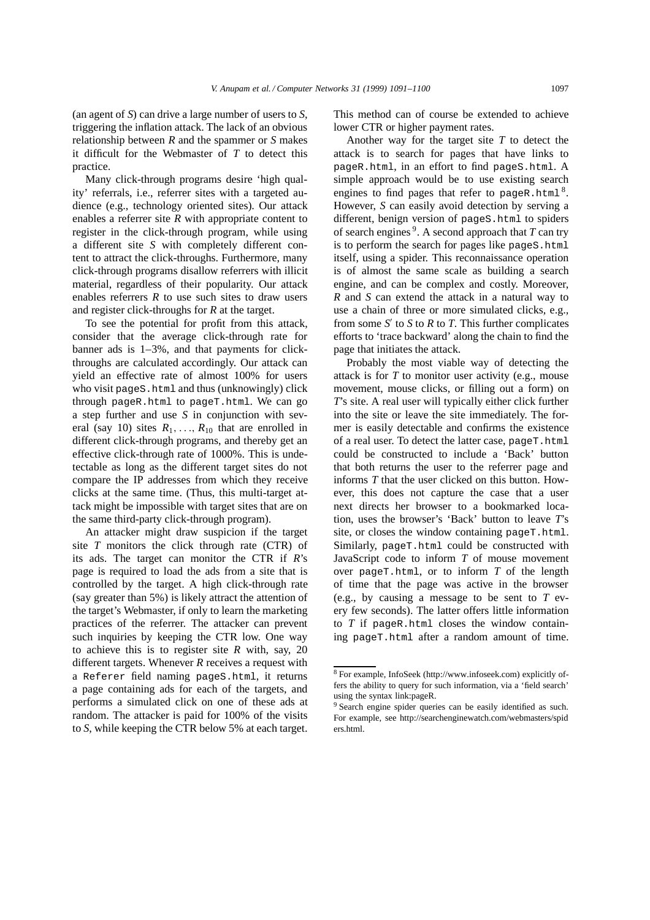(an agent of *S*) can drive a large number of users to *S*, triggering the inflation attack. The lack of an obvious relationship between *R* and the spammer or *S* makes it difficult for the Webmaster of *T* to detect this practice.

Many click-through programs desire 'high quality' referrals, i.e., referrer sites with a targeted audience (e.g., technology oriented sites). Our attack enables a referrer site *R* with appropriate content to register in the click-through program, while using a different site *S* with completely different content to attract the click-throughs. Furthermore, many click-through programs disallow referrers with illicit material, regardless of their popularity. Our attack enables referrers *R* to use such sites to draw users and register click-throughs for *R* at the target.

To see the potential for profit from this attack, consider that the average click-through rate for banner ads is 1–3%, and that payments for clickthroughs are calculated accordingly. Our attack can yield an effective rate of almost 100% for users who visit pageS.html and thus (unknowingly) click through pageR.html to pageT.html. We can go a step further and use *S* in conjunction with several (say 10) sites  $R_1, \ldots, R_{10}$  that are enrolled in different click-through programs, and thereby get an effective click-through rate of 1000%. This is undetectable as long as the different target sites do not compare the IP addresses from which they receive clicks at the same time. (Thus, this multi-target attack might be impossible with target sites that are on the same third-party click-through program).

An attacker might draw suspicion if the target site *T* monitors the click through rate (CTR) of its ads. The target can monitor the CTR if *R*'s page is required to load the ads from a site that is controlled by the target. A high click-through rate (say greater than 5%) is likely attract the attention of the target's Webmaster, if only to learn the marketing practices of the referrer. The attacker can prevent such inquiries by keeping the CTR low. One way to achieve this is to register site *R* with, say, 20 different targets. Whenever *R* receives a request with a Referer field naming pageS.html, it returns a page containing ads for each of the targets, and performs a simulated click on one of these ads at random. The attacker is paid for 100% of the visits to *S*, while keeping the CTR below 5% at each target.

This method can of course be extended to achieve lower CTR or higher payment rates.

Another way for the target site *T* to detect the attack is to search for pages that have links to pageR.html, in an effort to find pageS.html. A simple approach would be to use existing search engines to find pages that refer to page R.html<sup>8</sup>. However, *S* can easily avoid detection by serving a different, benign version of pageS.html to spiders of search engines<sup>9</sup>. A second approach that  $T$  can try is to perform the search for pages like pageS.html itself, using a spider. This reconnaissance operation is of almost the same scale as building a search engine, and can be complex and costly. Moreover, *R* and *S* can extend the attack in a natural way to use a chain of three or more simulated clicks, e.g., from some  $S'$  to  $S$  to  $R$  to  $T$ . This further complicates efforts to 'trace backward' along the chain to find the page that initiates the attack.

Probably the most viable way of detecting the attack is for *T* to monitor user activity (e.g., mouse movement, mouse clicks, or filling out a form) on *T*'s site. A real user will typically either click further into the site or leave the site immediately. The former is easily detectable and confirms the existence of a real user. To detect the latter case, pageT.html could be constructed to include a 'Back' button that both returns the user to the referrer page and informs *T* that the user clicked on this button. However, this does not capture the case that a user next directs her browser to a bookmarked location, uses the browser's 'Back' button to leave *T*'s site, or closes the window containing pageT.html. Similarly, pageT.html could be constructed with JavaScript code to inform *T* of mouse movement over pageT.html, or to inform *T* of the length of time that the page was active in the browser (e.g., by causing a message to be sent to *T* every few seconds). The latter offers little information to *T* if pageR.html closes the window containing pageT.html after a random amount of time.

<sup>8</sup> For example, InfoSeek (http://www.infoseek.com) explicitly offers the ability to query for such information, via a 'field search' using the syntax link:pageR.

<sup>9</sup> Search engine spider queries can be easily identified as such. For example, see http://searchenginewatch.com/webmasters/spid ers.html.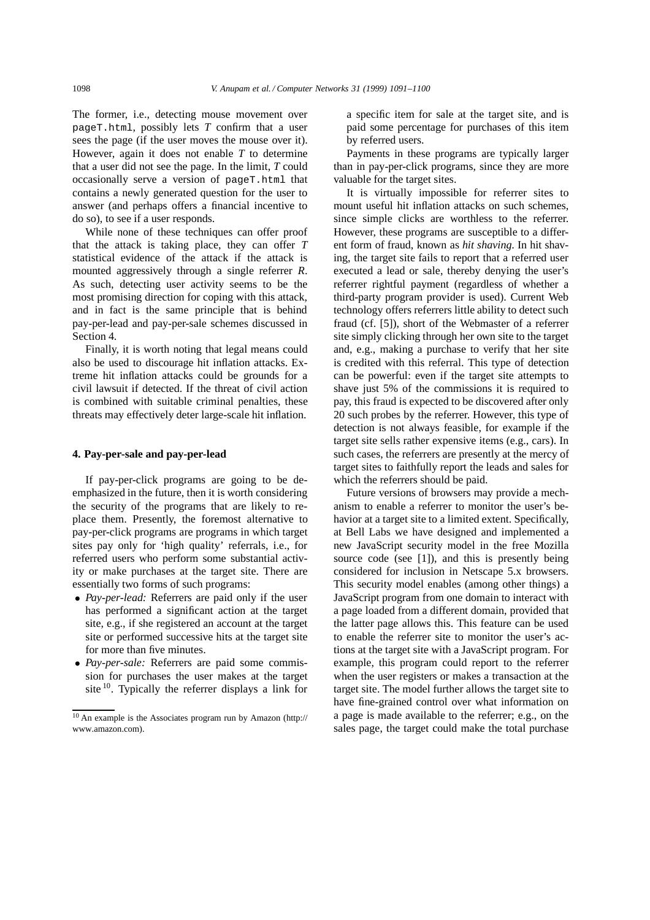The former, i.e., detecting mouse movement over pageT.html, possibly lets *T* confirm that a user sees the page (if the user moves the mouse over it). However, again it does not enable *T* to determine that a user did not see the page. In the limit, *T* could occasionally serve a version of pageT.html that contains a newly generated question for the user to answer (and perhaps offers a financial incentive to do so), to see if a user responds.

While none of these techniques can offer proof that the attack is taking place, they can offer *T* statistical evidence of the attack if the attack is mounted aggressively through a single referrer *R*. As such, detecting user activity seems to be the most promising direction for coping with this attack, and in fact is the same principle that is behind pay-per-lead and pay-per-sale schemes discussed in Section 4.

Finally, it is worth noting that legal means could also be used to discourage hit inflation attacks. Extreme hit inflation attacks could be grounds for a civil lawsuit if detected. If the threat of civil action is combined with suitable criminal penalties, these threats may effectively deter large-scale hit inflation.

# **4. Pay-per-sale and pay-per-lead**

If pay-per-click programs are going to be deemphasized in the future, then it is worth considering the security of the programs that are likely to replace them. Presently, the foremost alternative to pay-per-click programs are programs in which target sites pay only for 'high quality' referrals, i.e., for referred users who perform some substantial activity or make purchases at the target site. There are essentially two forms of such programs:

- *Pay-per-lead:* Referrers are paid only if the user has performed a significant action at the target site, e.g., if she registered an account at the target site or performed successive hits at the target site for more than five minutes.
- *Pay-per-sale:* Referrers are paid some commission for purchases the user makes at the target site  $10$ . Typically the referrer displays a link for

a specific item for sale at the target site, and is paid some percentage for purchases of this item by referred users.

Payments in these programs are typically larger than in pay-per-click programs, since they are more valuable for the target sites.

It is virtually impossible for referrer sites to mount useful hit inflation attacks on such schemes, since simple clicks are worthless to the referrer. However, these programs are susceptible to a different form of fraud, known as *hit shaving*. In hit shaving, the target site fails to report that a referred user executed a lead or sale, thereby denying the user's referrer rightful payment (regardless of whether a third-party program provider is used). Current Web technology offers referrers little ability to detect such fraud (cf. [5]), short of the Webmaster of a referrer site simply clicking through her own site to the target and, e.g., making a purchase to verify that her site is credited with this referral. This type of detection can be powerful: even if the target site attempts to shave just 5% of the commissions it is required to pay, this fraud is expected to be discovered after only 20 such probes by the referrer. However, this type of detection is not always feasible, for example if the target site sells rather expensive items (e.g., cars). In such cases, the referrers are presently at the mercy of target sites to faithfully report the leads and sales for which the referrers should be paid.

Future versions of browsers may provide a mechanism to enable a referrer to monitor the user's behavior at a target site to a limited extent. Specifically, at Bell Labs we have designed and implemented a new JavaScript security model in the free Mozilla source code (see [1]), and this is presently being considered for inclusion in Netscape 5.x browsers. This security model enables (among other things) a JavaScript program from one domain to interact with a page loaded from a different domain, provided that the latter page allows this. This feature can be used to enable the referrer site to monitor the user's actions at the target site with a JavaScript program. For example, this program could report to the referrer when the user registers or makes a transaction at the target site. The model further allows the target site to have fine-grained control over what information on a page is made available to the referrer; e.g., on the sales page, the target could make the total purchase

<sup>10</sup> An example is the Associates program run by Amazon (http:// www.amazon.com).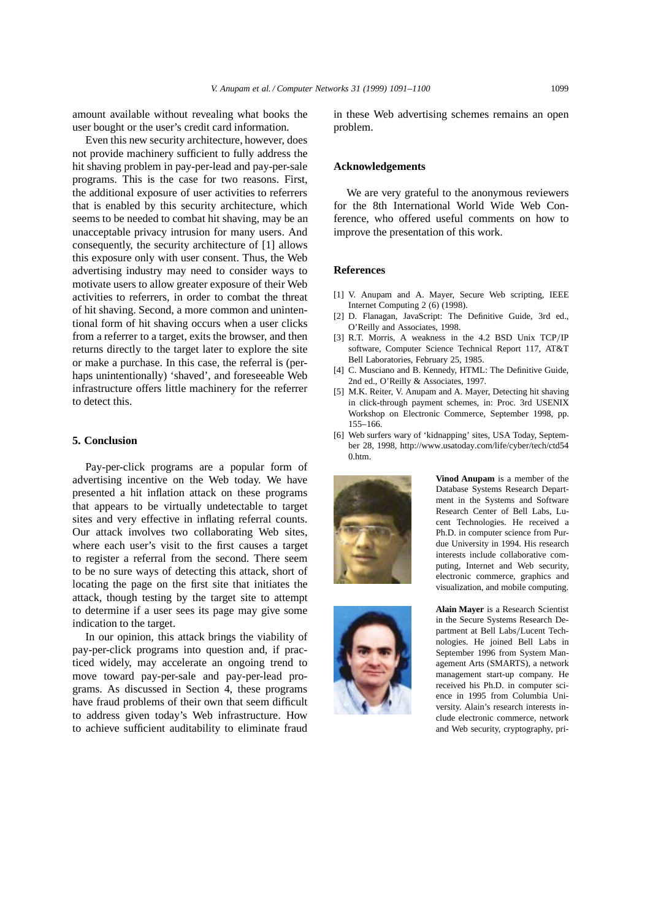amount available without revealing what books the user bought or the user's credit card information.

Even this new security architecture, however, does not provide machinery sufficient to fully address the hit shaving problem in pay-per-lead and pay-per-sale programs. This is the case for two reasons. First, the additional exposure of user activities to referrers that is enabled by this security architecture, which seems to be needed to combat hit shaving, may be an unacceptable privacy intrusion for many users. And consequently, the security architecture of [1] allows this exposure only with user consent. Thus, the Web advertising industry may need to consider ways to motivate users to allow greater exposure of their Web activities to referrers, in order to combat the threat of hit shaving. Second, a more common and unintentional form of hit shaving occurs when a user clicks from a referrer to a target, exits the browser, and then returns directly to the target later to explore the site or make a purchase. In this case, the referral is (perhaps unintentionally) 'shaved', and foreseeable Web infrastructure offers little machinery for the referrer to detect this.

# **5. Conclusion**

Pay-per-click programs are a popular form of advertising incentive on the Web today. We have presented a hit inflation attack on these programs that appears to be virtually undetectable to target sites and very effective in inflating referral counts. Our attack involves two collaborating Web sites, where each user's visit to the first causes a target to register a referral from the second. There seem to be no sure ways of detecting this attack, short of locating the page on the first site that initiates the attack, though testing by the target site to attempt to determine if a user sees its page may give some indication to the target.

In our opinion, this attack brings the viability of pay-per-click programs into question and, if practiced widely, may accelerate an ongoing trend to move toward pay-per-sale and pay-per-lead programs. As discussed in Section 4, these programs have fraud problems of their own that seem difficult to address given today's Web infrastructure. How to achieve sufficient auditability to eliminate fraud

in these Web advertising schemes remains an open problem.

# **Acknowledgements**

We are very grateful to the anonymous reviewers for the 8th International World Wide Web Conference, who offered useful comments on how to improve the presentation of this work.

# **References**

- [1] V. Anupam and A. Mayer, Secure Web scripting, IEEE Internet Computing 2 (6) (1998).
- [2] D. Flanagan, JavaScript: The Definitive Guide, 3rd ed., O'Reilly and Associates, 1998.
- [3] R.T. Morris, A weakness in the  $4.2$  BSD Unix TCP/IP software, Computer Science Technical Report 117, AT&T Bell Laboratories, February 25, 1985.
- [4] C. Musciano and B. Kennedy, HTML: The Definitive Guide, 2nd ed., O'Reilly & Associates, 1997.
- [5] M.K. Reiter, V. Anupam and A. Mayer, Detecting hit shaving in click-through payment schemes, in: Proc. 3rd USENIX Workshop on Electronic Commerce, September 1998, pp. 155–166.
- [6] Web surfers wary of 'kidnapping' sites, USA Today, September 28, 1998, http://www.usatoday.com/life/cyber/tech/ctd54 0.htm.





**Vinod Anupam** is a member of the Database Systems Research Department in the Systems and Software Research Center of Bell Labs, Lucent Technologies. He received a Ph.D. in computer science from Purdue University in 1994. His research interests include collaborative computing, Internet and Web security, electronic commerce, graphics and visualization, and mobile computing.

**Alain Mayer** is a Research Scientist in the Secure Systems Research Department at Bell Labs/Lucent Technologies. He joined Bell Labs in September 1996 from System Management Arts (SMARTS), a network management start-up company. He received his Ph.D. in computer science in 1995 from Columbia University. Alain's research interests include electronic commerce, network and Web security, cryptography, pri